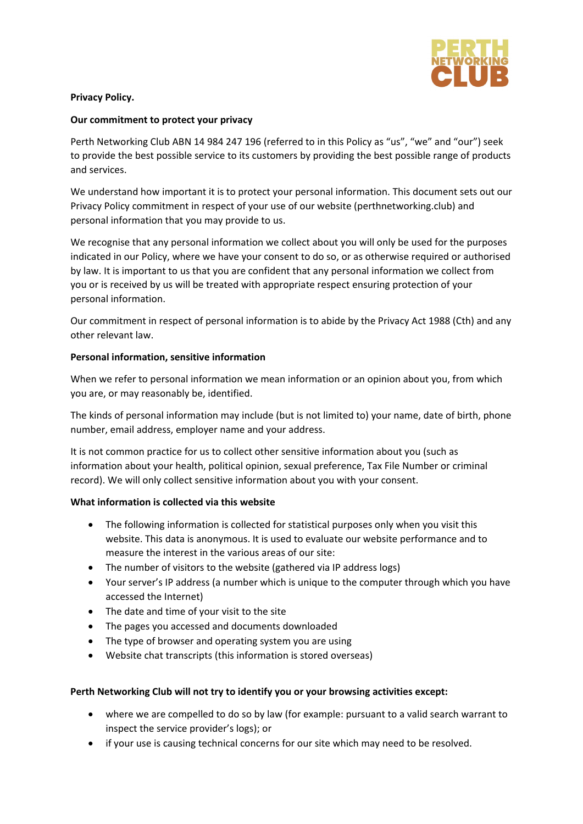

## **Privacy Policy.**

### **Our commitment to protect your privacy**

Perth Networking Club ABN 14 984 247 196 (referred to in this Policy as "us", "we" and "our") seek to provide the best possible service to its customers by providing the best possible range of products and services.

We understand how important it is to protect your personal information. This document sets out our Privacy Policy commitment in respect of your use of our website (perthnetworking.club) and personal information that you may provide to us.

We recognise that any personal information we collect about you will only be used for the purposes indicated in our Policy, where we have your consent to do so, or as otherwise required or authorised by law. It is important to us that you are confident that any personal information we collect from you or is received by us will be treated with appropriate respect ensuring protection of your personal information.

Our commitment in respect of personal information is to abide by the Privacy Act 1988 (Cth) and any other relevant law.

## **Personal information, sensitive information**

When we refer to personal information we mean information or an opinion about you, from which you are, or may reasonably be, identified.

The kinds of personal information may include (but is not limited to) your name, date of birth, phone number, email address, employer name and your address.

It is not common practice for us to collect other sensitive information about you (such as information about your health, political opinion, sexual preference, Tax File Number or criminal record). We will only collect sensitive information about you with your consent.

### **What information is collected via this website**

- The following information is collected for statistical purposes only when you visit this website. This data is anonymous. It is used to evaluate our website performance and to measure the interest in the various areas of our site:
- The number of visitors to the website (gathered via IP address logs)
- Your server's IP address (a number which is unique to the computer through which you have accessed the Internet)
- The date and time of your visit to the site
- The pages you accessed and documents downloaded
- The type of browser and operating system you are using
- Website chat transcripts (this information is stored overseas)

# **Perth Networking Club will not try to identify you or your browsing activities except:**

- where we are compelled to do so by law (for example: pursuant to a valid search warrant to inspect the service provider's logs); or
- if your use is causing technical concerns for our site which may need to be resolved.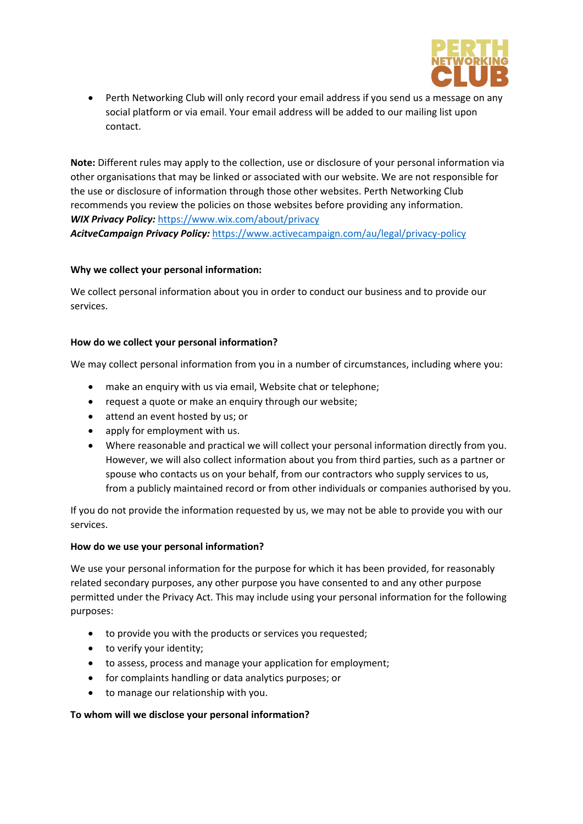

• Perth Networking Club will only record your email address if you send us a message on any social platform or via email. Your email address will be added to our mailing list upon contact.

**Note:** Different rules may apply to the collection, use or disclosure of your personal information via other organisations that may be linked or associated with our website. We are not responsible for the use or disclosure of information through those other websites. Perth Networking Club recommends you review the policies on those websites before providing any information. *WIX Privacy Policy:* <https://www.wix.com/about/privacy>

*AcitveCampaign Privacy Policy:* <https://www.activecampaign.com/au/legal/privacy-policy>

# **Why we collect your personal information:**

We collect personal information about you in order to conduct our business and to provide our services.

# **How do we collect your personal information?**

We may collect personal information from you in a number of circumstances, including where you:

- make an enquiry with us via email, Website chat or telephone;
- request a quote or make an enquiry through our website;
- attend an event hosted by us; or
- apply for employment with us.
- Where reasonable and practical we will collect your personal information directly from you. However, we will also collect information about you from third parties, such as a partner or spouse who contacts us on your behalf, from our contractors who supply services to us, from a publicly maintained record or from other individuals or companies authorised by you.

If you do not provide the information requested by us, we may not be able to provide you with our services.

# **How do we use your personal information?**

We use your personal information for the purpose for which it has been provided, for reasonably related secondary purposes, any other purpose you have consented to and any other purpose permitted under the Privacy Act. This may include using your personal information for the following purposes:

- to provide you with the products or services you requested;
- to verify your identity;
- to assess, process and manage your application for employment;
- for complaints handling or data analytics purposes; or
- to manage our relationship with you.

# **To whom will we disclose your personal information?**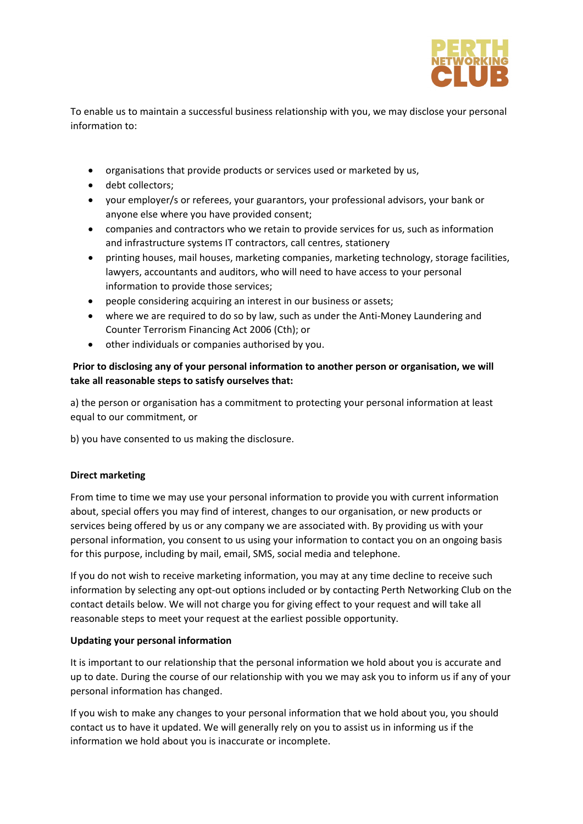

To enable us to maintain a successful business relationship with you, we may disclose your personal information to:

- organisations that provide products or services used or marketed by us,
- debt collectors;
- your employer/s or referees, your guarantors, your professional advisors, your bank or anyone else where you have provided consent;
- companies and contractors who we retain to provide services for us, such as information and infrastructure systems IT contractors, call centres, stationery
- printing houses, mail houses, marketing companies, marketing technology, storage facilities, lawyers, accountants and auditors, who will need to have access to your personal information to provide those services;
- people considering acquiring an interest in our business or assets;
- where we are required to do so by law, such as under the Anti-Money Laundering and Counter Terrorism Financing Act 2006 (Cth); or
- other individuals or companies authorised by you.

# **Prior to disclosing any of your personal information to another person or organisation, we will take all reasonable steps to satisfy ourselves that:**

a) the person or organisation has a commitment to protecting your personal information at least equal to our commitment, or

b) you have consented to us making the disclosure.

# **Direct marketing**

From time to time we may use your personal information to provide you with current information about, special offers you may find of interest, changes to our organisation, or new products or services being offered by us or any company we are associated with. By providing us with your personal information, you consent to us using your information to contact you on an ongoing basis for this purpose, including by mail, email, SMS, social media and telephone.

If you do not wish to receive marketing information, you may at any time decline to receive such information by selecting any opt-out options included or by contacting Perth Networking Club on the contact details below. We will not charge you for giving effect to your request and will take all reasonable steps to meet your request at the earliest possible opportunity.

# **Updating your personal information**

It is important to our relationship that the personal information we hold about you is accurate and up to date. During the course of our relationship with you we may ask you to inform us if any of your personal information has changed.

If you wish to make any changes to your personal information that we hold about you, you should contact us to have it updated. We will generally rely on you to assist us in informing us if the information we hold about you is inaccurate or incomplete.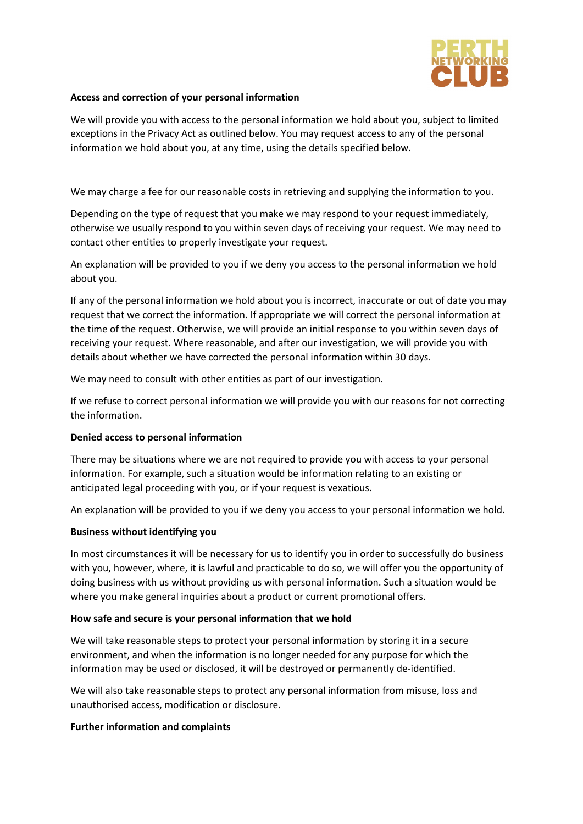

## **Access and correction of your personal information**

We will provide you with access to the personal information we hold about you, subject to limited exceptions in the Privacy Act as outlined below. You may request access to any of the personal information we hold about you, at any time, using the details specified below.

We may charge a fee for our reasonable costs in retrieving and supplying the information to you.

Depending on the type of request that you make we may respond to your request immediately, otherwise we usually respond to you within seven days of receiving your request. We may need to contact other entities to properly investigate your request.

An explanation will be provided to you if we deny you access to the personal information we hold about you.

If any of the personal information we hold about you is incorrect, inaccurate or out of date you may request that we correct the information. If appropriate we will correct the personal information at the time of the request. Otherwise, we will provide an initial response to you within seven days of receiving your request. Where reasonable, and after our investigation, we will provide you with details about whether we have corrected the personal information within 30 days.

We may need to consult with other entities as part of our investigation.

If we refuse to correct personal information we will provide you with our reasons for not correcting the information.

### **Denied access to personal information**

There may be situations where we are not required to provide you with access to your personal information. For example, such a situation would be information relating to an existing or anticipated legal proceeding with you, or if your request is vexatious.

An explanation will be provided to you if we deny you access to your personal information we hold.

### **Business without identifying you**

In most circumstances it will be necessary for us to identify you in order to successfully do business with you, however, where, it is lawful and practicable to do so, we will offer you the opportunity of doing business with us without providing us with personal information. Such a situation would be where you make general inquiries about a product or current promotional offers.

### **How safe and secure is your personal information that we hold**

We will take reasonable steps to protect your personal information by storing it in a secure environment, and when the information is no longer needed for any purpose for which the information may be used or disclosed, it will be destroyed or permanently de-identified.

We will also take reasonable steps to protect any personal information from misuse, loss and unauthorised access, modification or disclosure.

### **Further information and complaints**